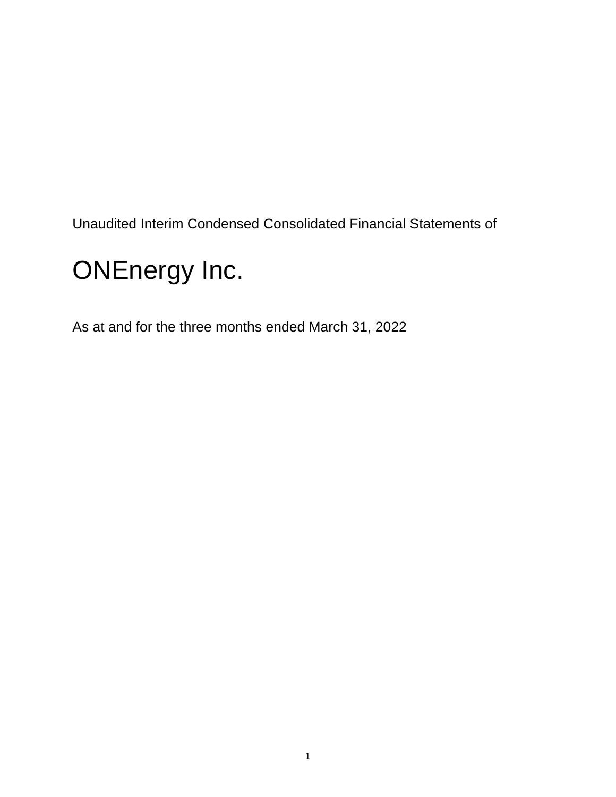Unaudited Interim Condensed Consolidated Financial Statements of

# ONEnergy Inc.

As at and for the three months ended March 31, 2022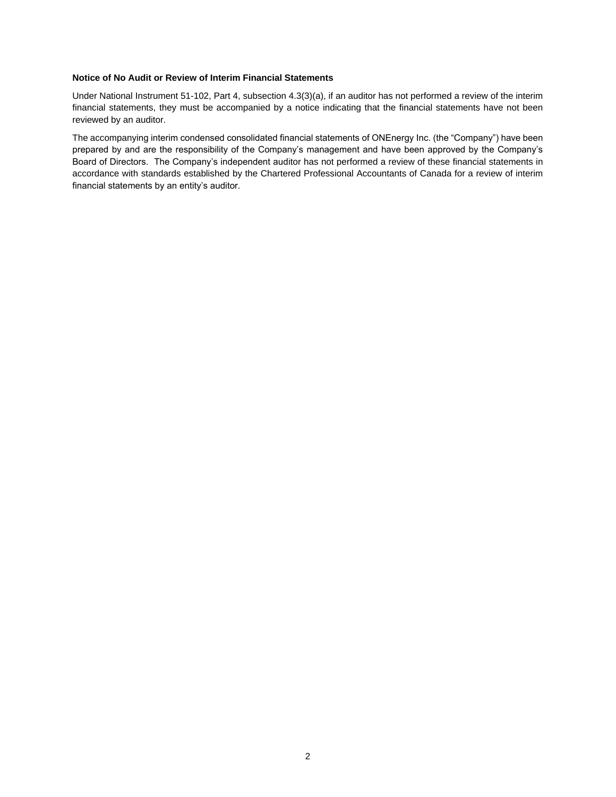#### **Notice of No Audit or Review of Interim Financial Statements**

Under National Instrument 51-102, Part 4, subsection 4.3(3)(a), if an auditor has not performed a review of the interim financial statements, they must be accompanied by a notice indicating that the financial statements have not been reviewed by an auditor.

The accompanying interim condensed consolidated financial statements of ONEnergy Inc. (the "Company") have been prepared by and are the responsibility of the Company's management and have been approved by the Company's Board of Directors. The Company's independent auditor has not performed a review of these financial statements in accordance with standards established by the Chartered Professional Accountants of Canada for a review of interim financial statements by an entity's auditor.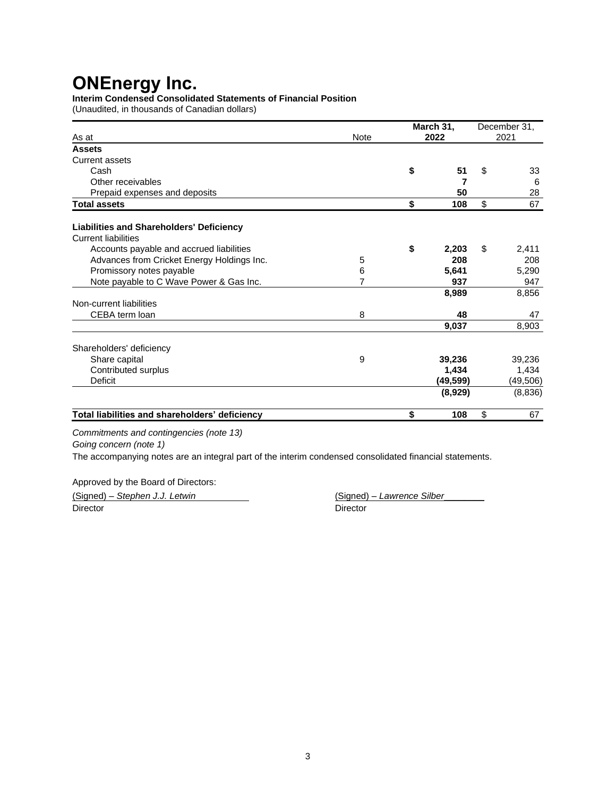### **Interim Condensed Consolidated Statements of Financial Position**

(Unaudited, in thousands of Canadian dollars)

| As at                                                                  | <b>Note</b> | March 31,<br>2022 | December 31,<br>2021 |
|------------------------------------------------------------------------|-------------|-------------------|----------------------|
| <b>Assets</b>                                                          |             |                   |                      |
| <b>Current assets</b>                                                  |             |                   |                      |
| Cash                                                                   |             | \$<br>51          | \$<br>33             |
| Other receivables                                                      |             | 7                 | 6                    |
| Prepaid expenses and deposits                                          |             | 50                | 28                   |
| <b>Total assets</b>                                                    |             | \$<br>108         | \$<br>67             |
| Liabilities and Shareholders' Deficiency<br><b>Current liabilities</b> |             |                   |                      |
| Accounts payable and accrued liabilities                               |             | \$<br>2,203       | \$<br>2,411          |
| Advances from Cricket Energy Holdings Inc.                             | 5           | 208               | 208                  |
| Promissory notes payable                                               | 6           | 5,641             | 5,290                |
| Note payable to C Wave Power & Gas Inc.                                | 7           | 937               | 947                  |
|                                                                        |             |                   | 8,856                |
| Non-current liabilities                                                |             | 8,989             |                      |
| CEBA term loan                                                         | 8           | 48                | 47                   |
|                                                                        |             | 9,037             | 8,903                |
| Shareholders' deficiency                                               |             |                   |                      |
| Share capital                                                          | 9           | 39,236            | 39,236               |
| Contributed surplus                                                    |             | 1,434             | 1,434                |
| Deficit                                                                |             | (49,599)          | (49, 506)            |
|                                                                        |             | (8,929)           | (8,836)              |
| Total liabilities and shareholders' deficiency                         |             | \$<br>108         | \$<br>67             |

*Commitments and contingencies (note 13)*

*Going concern (note 1)*

The accompanying notes are an integral part of the interim condensed consolidated financial statements.

Approved by the Board of Directors:

(Signed) – *Stephen J.J. Letwin* (Signed) – *Lawrence Silber*\_\_\_\_\_\_\_\_ Director **Director** Director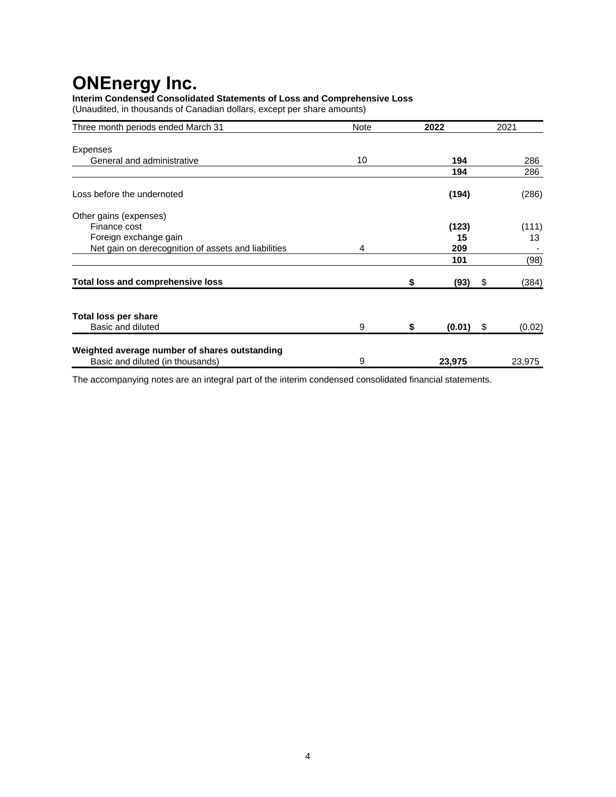**Interim Condensed Consolidated Statements of Loss and Comprehensive Loss** (Unaudited, in thousands of Canadian dollars, except per share amounts)

| Three month periods ended March 31                  | <b>Note</b> | 2022         | 2021         |
|-----------------------------------------------------|-------------|--------------|--------------|
| Expenses                                            |             |              |              |
| General and administrative                          | 10          | 194          | 286          |
|                                                     |             | 194          | 286          |
| Loss before the undernoted                          |             | (194)        | (286)        |
| Other gains (expenses)                              |             |              |              |
| Finance cost                                        |             | (123)        | (111)        |
| Foreign exchange gain                               |             | 15           | 13           |
| Net gain on derecognition of assets and liabilities | 4           | 209          |              |
|                                                     |             | 101          | (98)         |
| <b>Total loss and comprehensive loss</b>            |             | \$<br>(93)   | \$<br>(384)  |
| <b>Total loss per share</b>                         |             |              |              |
| Basic and diluted                                   | 9           | \$<br>(0.01) | \$<br>(0.02) |
| Weighted average number of shares outstanding       |             |              |              |
| Basic and diluted (in thousands)                    | 9           | 23,975       | 23,975       |

The accompanying notes are an integral part of the interim condensed consolidated financial statements.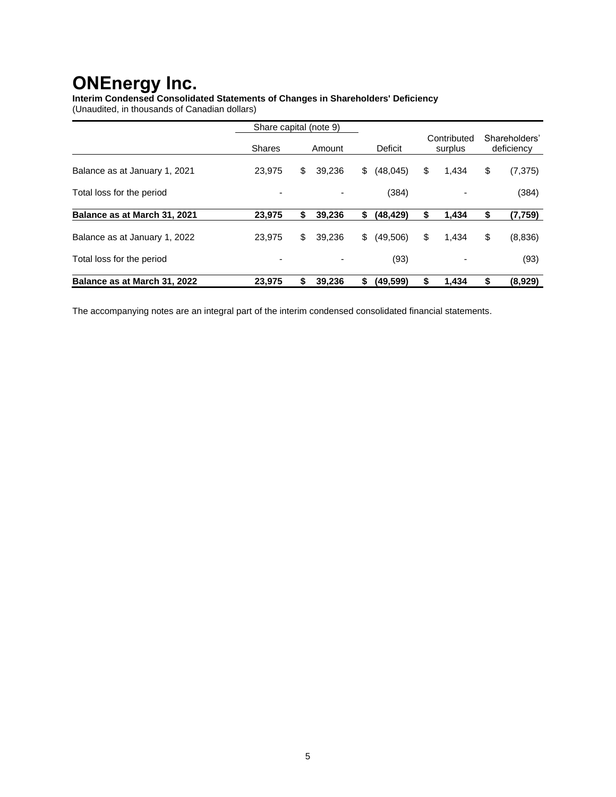**Interim Condensed Consolidated Statements of Changes in Shareholders' Deficiency** (Unaudited, in thousands of Canadian dollars)

|                               | Share capital (note 9) |              |                |                        |                             |
|-------------------------------|------------------------|--------------|----------------|------------------------|-----------------------------|
|                               | <b>Shares</b>          | Amount       | Deficit        | Contributed<br>surplus | Shareholders'<br>deficiency |
| Balance as at January 1, 2021 | 23.975                 | \$<br>39.236 | \$<br>(48,045) | \$<br>1,434            | \$<br>(7, 375)              |
| Total loss for the period     | -                      |              | (384)          |                        | (384)                       |
| Balance as at March 31, 2021  | 23.975                 | \$<br>39.236 | \$<br>(48,429) | \$<br>1,434            | \$<br>(7,759)               |
| Balance as at January 1, 2022 | 23.975                 | \$<br>39.236 | \$<br>(49,506) | \$<br>1.434            | \$<br>(8,836)               |
| Total loss for the period     |                        |              | (93)           |                        | (93)                        |
| Balance as at March 31, 2022  | 23.975                 | \$<br>39.236 | \$<br>(49,599) | \$<br>1,434            | \$<br>(8,929)               |

The accompanying notes are an integral part of the interim condensed consolidated financial statements.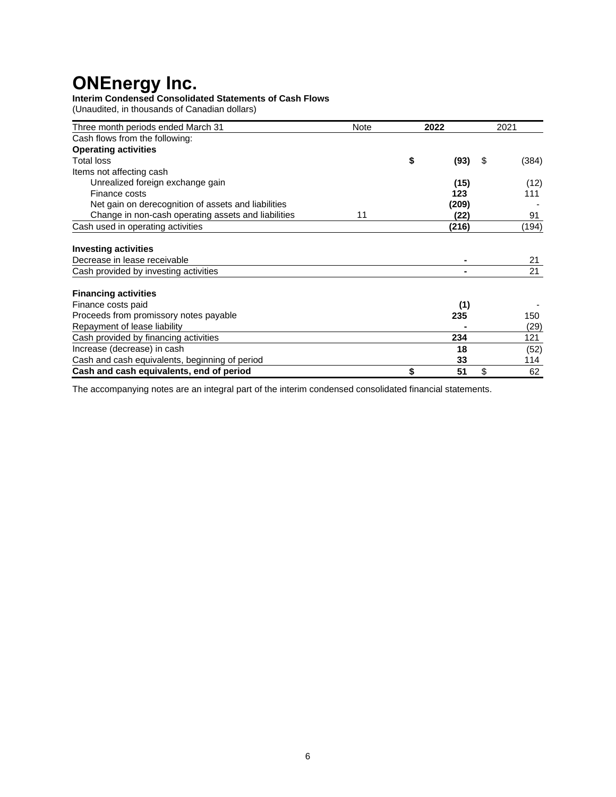### **Interim Condensed Consolidated Statements of Cash Flows**

(Unaudited, in thousands of Canadian dollars)

| Three month periods ended March 31                  | <b>Note</b> | 2022       |    | 2021  |
|-----------------------------------------------------|-------------|------------|----|-------|
| Cash flows from the following:                      |             |            |    |       |
| <b>Operating activities</b>                         |             |            |    |       |
| Total loss                                          |             | \$<br>(93) | S  | (384) |
| Items not affecting cash                            |             |            |    |       |
| Unrealized foreign exchange gain                    |             | (15)       |    | (12)  |
| Finance costs                                       |             | 123        |    | 111   |
| Net gain on derecognition of assets and liabilities |             | (209)      |    |       |
| Change in non-cash operating assets and liabilities | 11          | (22)       |    | 91    |
| Cash used in operating activities                   |             | (216)      |    | (194) |
| <b>Investing activities</b>                         |             |            |    |       |
| Decrease in lease receivable                        |             |            |    | 21    |
| Cash provided by investing activities               |             |            |    | 21    |
| <b>Financing activities</b>                         |             |            |    |       |
| Finance costs paid                                  |             | (1)        |    |       |
| Proceeds from promissory notes payable              |             | 235        |    | 150   |
| Repayment of lease liability                        |             |            |    | (29)  |
| Cash provided by financing activities               |             | 234        |    | 121   |
| Increase (decrease) in cash                         |             | 18         |    | (52)  |
| Cash and cash equivalents, beginning of period      |             | 33         |    | 114   |
| Cash and cash equivalents, end of period            |             | \$<br>51   | \$ | 62    |

The accompanying notes are an integral part of the interim condensed consolidated financial statements.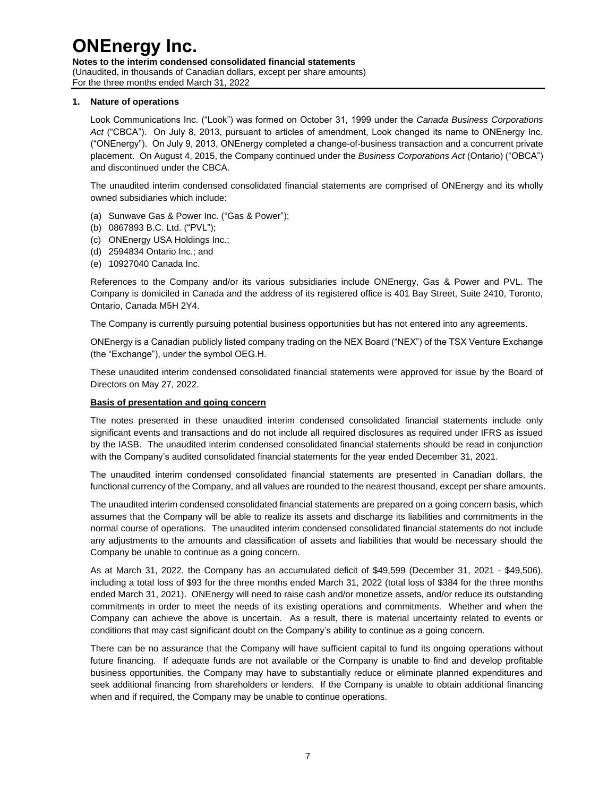**Notes to the interim condensed consolidated financial statements**  (Unaudited, in thousands of Canadian dollars, except per share amounts) For the three months ended March 31, 2022

#### **1. Nature of operations**

Look Communications Inc. ("Look") was formed on October 31, 1999 under the *Canada Business Corporations Act* ("CBCA"). On July 8, 2013, pursuant to articles of amendment, Look changed its name to ONEnergy Inc. ("ONEnergy"). On July 9, 2013, ONEnergy completed a change-of-business transaction and a concurrent private placement. On August 4, 2015, the Company continued under the *Business Corporations Act* (Ontario) ("OBCA") and discontinued under the CBCA.

The unaudited interim condensed consolidated financial statements are comprised of ONEnergy and its wholly owned subsidiaries which include:

- (a) Sunwave Gas & Power Inc. ("Gas & Power");
- (b) 0867893 B.C. Ltd. ("PVL");
- (c) ONEnergy USA Holdings Inc.;
- (d) 2594834 Ontario Inc.; and
- (e) 10927040 Canada Inc.

References to the Company and/or its various subsidiaries include ONEnergy, Gas & Power and PVL. The Company is domiciled in Canada and the address of its registered office is 401 Bay Street, Suite 2410, Toronto, Ontario, Canada M5H 2Y4.

The Company is currently pursuing potential business opportunities but has not entered into any agreements.

ONEnergy is a Canadian publicly listed company trading on the NEX Board ("NEX") of the TSX Venture Exchange (the "Exchange"), under the symbol OEG.H.

These unaudited interim condensed consolidated financial statements were approved for issue by the Board of Directors on May 27, 2022.

#### **Basis of presentation and going concern**

The notes presented in these unaudited interim condensed consolidated financial statements include only significant events and transactions and do not include all required disclosures as required under IFRS as issued by the IASB. The unaudited interim condensed consolidated financial statements should be read in conjunction with the Company's audited consolidated financial statements for the year ended December 31, 2021.

The unaudited interim condensed consolidated financial statements are presented in Canadian dollars, the functional currency of the Company, and all values are rounded to the nearest thousand, except per share amounts.

The unaudited interim condensed consolidated financial statements are prepared on a going concern basis, which assumes that the Company will be able to realize its assets and discharge its liabilities and commitments in the normal course of operations. The unaudited interim condensed consolidated financial statements do not include any adjustments to the amounts and classification of assets and liabilities that would be necessary should the Company be unable to continue as a going concern.

As at March 31, 2022, the Company has an accumulated deficit of \$49,599 (December 31, 2021 - \$49,506), including a total loss of \$93 for the three months ended March 31, 2022 (total loss of \$384 for the three months ended March 31, 2021). ONEnergy will need to raise cash and/or monetize assets, and/or reduce its outstanding commitments in order to meet the needs of its existing operations and commitments. Whether and when the Company can achieve the above is uncertain. As a result, there is material uncertainty related to events or conditions that may cast significant doubt on the Company's ability to continue as a going concern.

There can be no assurance that the Company will have sufficient capital to fund its ongoing operations without future financing. If adequate funds are not available or the Company is unable to find and develop profitable business opportunities, the Company may have to substantially reduce or eliminate planned expenditures and seek additional financing from shareholders or lenders. If the Company is unable to obtain additional financing when and if required, the Company may be unable to continue operations.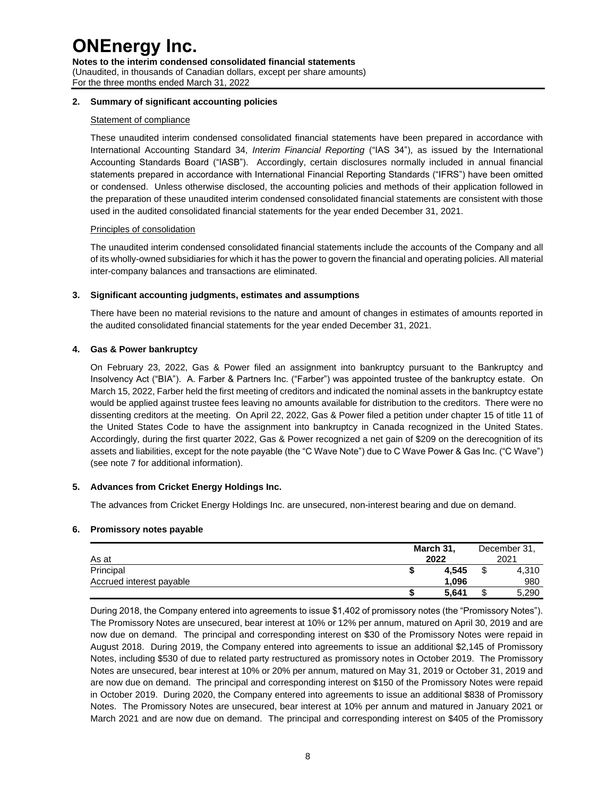**Notes to the interim condensed consolidated financial statements**  (Unaudited, in thousands of Canadian dollars, except per share amounts) For the three months ended March 31, 2022

#### **2. Summary of significant accounting policies**

#### Statement of compliance

These unaudited interim condensed consolidated financial statements have been prepared in accordance with International Accounting Standard 34, *Interim Financial Reporting* ("IAS 34"), as issued by the International Accounting Standards Board ("IASB"). Accordingly, certain disclosures normally included in annual financial statements prepared in accordance with International Financial Reporting Standards ("IFRS") have been omitted or condensed. Unless otherwise disclosed, the accounting policies and methods of their application followed in the preparation of these unaudited interim condensed consolidated financial statements are consistent with those used in the audited consolidated financial statements for the year ended December 31, 2021.

#### Principles of consolidation

The unaudited interim condensed consolidated financial statements include the accounts of the Company and all of its wholly-owned subsidiaries for which it has the power to govern the financial and operating policies. All material inter-company balances and transactions are eliminated.

#### **3. Significant accounting judgments, estimates and assumptions**

There have been no material revisions to the nature and amount of changes in estimates of amounts reported in the audited consolidated financial statements for the year ended December 31, 2021.

#### **4. Gas & Power bankruptcy**

On February 23, 2022, Gas & Power filed an assignment into bankruptcy pursuant to the Bankruptcy and Insolvency Act ("BIA"). A. Farber & Partners Inc. ("Farber") was appointed trustee of the bankruptcy estate. On March 15, 2022, Farber held the first meeting of creditors and indicated the nominal assets in the bankruptcy estate would be applied against trustee fees leaving no amounts available for distribution to the creditors. There were no dissenting creditors at the meeting. On April 22, 2022, Gas & Power filed a petition under chapter 15 of title 11 of the United States Code to have the assignment into bankruptcy in Canada recognized in the United States. Accordingly, during the first quarter 2022, Gas & Power recognized a net gain of \$209 on the derecognition of its assets and liabilities, except for the note payable (the "C Wave Note") due to C Wave Power & Gas Inc. ("C Wave") (see note 7 for additional information).

#### **5. Advances from Cricket Energy Holdings Inc.**

The advances from Cricket Energy Holdings Inc. are unsecured, non-interest bearing and due on demand.

#### **6. Promissory notes payable**

| As at                    | March 31,<br>2022 |  | December 31,<br>2021 |  |
|--------------------------|-------------------|--|----------------------|--|
| Principal                | 4.545             |  | 4,310                |  |
| Accrued interest payable | 1.096             |  | 980                  |  |
|                          | 5,641             |  | 5,290                |  |

During 2018, the Company entered into agreements to issue \$1,402 of promissory notes (the "Promissory Notes"). The Promissory Notes are unsecured, bear interest at 10% or 12% per annum, matured on April 30, 2019 and are now due on demand. The principal and corresponding interest on \$30 of the Promissory Notes were repaid in August 2018. During 2019, the Company entered into agreements to issue an additional \$2,145 of Promissory Notes, including \$530 of due to related party restructured as promissory notes in October 2019. The Promissory Notes are unsecured, bear interest at 10% or 20% per annum, matured on May 31, 2019 or October 31, 2019 and are now due on demand. The principal and corresponding interest on \$150 of the Promissory Notes were repaid in October 2019. During 2020, the Company entered into agreements to issue an additional \$838 of Promissory Notes. The Promissory Notes are unsecured, bear interest at 10% per annum and matured in January 2021 or March 2021 and are now due on demand. The principal and corresponding interest on \$405 of the Promissory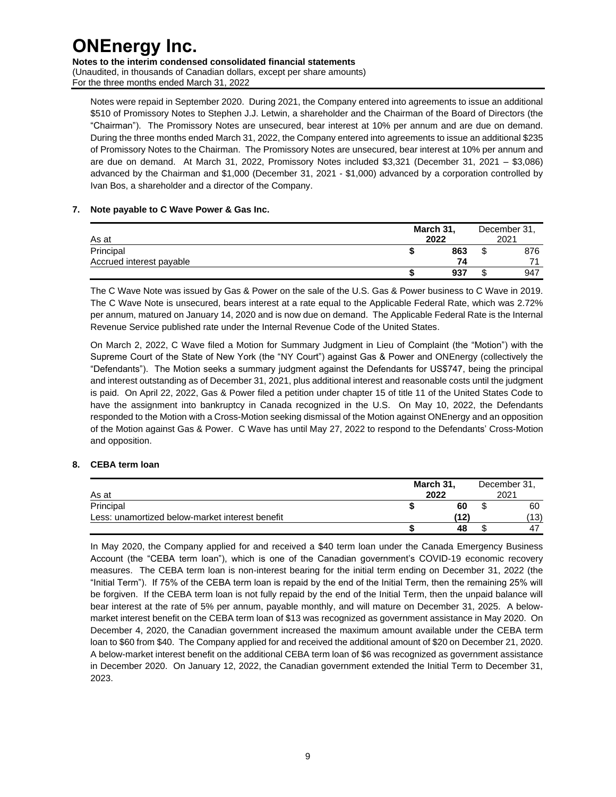**Notes to the interim condensed consolidated financial statements** 

(Unaudited, in thousands of Canadian dollars, except per share amounts) For the three months ended March 31, 2022

Notes were repaid in September 2020. During 2021, the Company entered into agreements to issue an additional \$510 of Promissory Notes to Stephen J.J. Letwin, a shareholder and the Chairman of the Board of Directors (the "Chairman"). The Promissory Notes are unsecured, bear interest at 10% per annum and are due on demand. During the three months ended March 31, 2022, the Company entered into agreements to issue an additional \$235 of Promissory Notes to the Chairman. The Promissory Notes are unsecured, bear interest at 10% per annum and are due on demand. At March 31, 2022, Promissory Notes included \$3,321 (December 31, 2021 – \$3,086) advanced by the Chairman and \$1,000 (December 31, 2021 - \$1,000) advanced by a corporation controlled by Ivan Bos, a shareholder and a director of the Company.

#### **7. Note payable to C Wave Power & Gas Inc.**

| As at                    |  | March 31,<br>2022 |  |     |
|--------------------------|--|-------------------|--|-----|
| Principal                |  | 863               |  | 876 |
| Accrued interest payable |  | 74                |  |     |
|                          |  | 937               |  | 947 |

The C Wave Note was issued by Gas & Power on the sale of the U.S. Gas & Power business to C Wave in 2019. The C Wave Note is unsecured, bears interest at a rate equal to the Applicable Federal Rate, which was 2.72% per annum, matured on January 14, 2020 and is now due on demand. The Applicable Federal Rate is the Internal Revenue Service published rate under the Internal Revenue Code of the United States.

On March 2, 2022, C Wave filed a Motion for Summary Judgment in Lieu of Complaint (the "Motion") with the Supreme Court of the State of New York (the "NY Court") against Gas & Power and ONEnergy (collectively the "Defendants"). The Motion seeks a summary judgment against the Defendants for US\$747, being the principal and interest outstanding as of December 31, 2021, plus additional interest and reasonable costs until the judgment is paid. On April 22, 2022, Gas & Power filed a petition under chapter 15 of title 11 of the United States Code to have the assignment into bankruptcy in Canada recognized in the U.S. On May 10, 2022, the Defendants responded to the Motion with a Cross-Motion seeking dismissal of the Motion against ONEnergy and an opposition of the Motion against Gas & Power. C Wave has until May 27, 2022 to respond to the Defendants' Cross-Motion and opposition.

#### **8. CEBA term loan**

| As at                                           | March 31,<br>2022 | December 31.<br>2021 |  |             |
|-------------------------------------------------|-------------------|----------------------|--|-------------|
| Principal                                       |                   | 60                   |  | 60          |
| Less: unamortized below-market interest benefit |                   | (12)                 |  | (13)        |
|                                                 |                   | 48                   |  | $4^{\circ}$ |

In May 2020, the Company applied for and received a \$40 term loan under the Canada Emergency Business Account (the "CEBA term loan"), which is one of the Canadian government's COVID-19 economic recovery measures. The CEBA term loan is non-interest bearing for the initial term ending on December 31, 2022 (the "Initial Term"). If 75% of the CEBA term loan is repaid by the end of the Initial Term, then the remaining 25% will be forgiven. If the CEBA term loan is not fully repaid by the end of the Initial Term, then the unpaid balance will bear interest at the rate of 5% per annum, payable monthly, and will mature on December 31, 2025. A belowmarket interest benefit on the CEBA term loan of \$13 was recognized as government assistance in May 2020. On December 4, 2020, the Canadian government increased the maximum amount available under the CEBA term loan to \$60 from \$40. The Company applied for and received the additional amount of \$20 on December 21, 2020. A below-market interest benefit on the additional CEBA term loan of \$6 was recognized as government assistance in December 2020. On January 12, 2022, the Canadian government extended the Initial Term to December 31, 2023.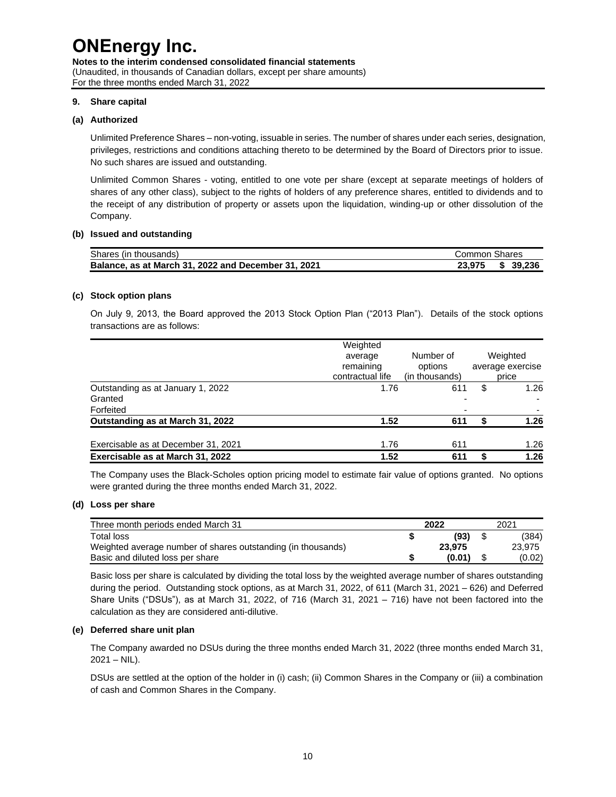**Notes to the interim condensed consolidated financial statements**  (Unaudited, in thousands of Canadian dollars, except per share amounts) For the three months ended March 31, 2022

#### **9. Share capital**

#### **(a) Authorized**

Unlimited Preference Shares – non-voting, issuable in series. The number of shares under each series, designation, privileges, restrictions and conditions attaching thereto to be determined by the Board of Directors prior to issue. No such shares are issued and outstanding.

Unlimited Common Shares - voting, entitled to one vote per share (except at separate meetings of holders of shares of any other class), subject to the rights of holders of any preference shares, entitled to dividends and to the receipt of any distribution of property or assets upon the liquidation, winding-up or other dissolution of the Company.

#### **(b) Issued and outstanding**

| Shares (in thousands)                               | Common Shares |           |
|-----------------------------------------------------|---------------|-----------|
| Balance, as at March 31, 2022 and December 31, 2021 | 23.975        | \$ 39.236 |

#### **(c) Stock option plans**

On July 9, 2013, the Board approved the 2013 Stock Option Plan ("2013 Plan"). Details of the stock options transactions are as follows:

|                                     | Weighted                      |                           |                           |  |
|-------------------------------------|-------------------------------|---------------------------|---------------------------|--|
|                                     | average                       | Number of                 | Weighted                  |  |
|                                     | remaining<br>contractual life | options<br>(in thousands) | average exercise<br>price |  |
| Outstanding as at January 1, 2022   | 1.76                          | 611                       | \$<br>1.26                |  |
| Granted                             |                               |                           |                           |  |
| Forfeited                           |                               |                           |                           |  |
| Outstanding as at March 31, 2022    | 1.52                          | 611                       | 1.26                      |  |
| Exercisable as at December 31, 2021 | 1.76                          | 611                       | 1.26                      |  |
| Exercisable as at March 31, 2022    | 1.52                          | 611                       | 1.26                      |  |

The Company uses the Black-Scholes option pricing model to estimate fair value of options granted. No options were granted during the three months ended March 31, 2022.

#### **(d) Loss per share**

| Three month periods ended March 31                           | 2022 |        |  | 2021   |  |  |
|--------------------------------------------------------------|------|--------|--|--------|--|--|
| Total loss                                                   |      | (93)   |  | (384)  |  |  |
| Weighted average number of shares outstanding (in thousands) |      | 23.975 |  | 23.975 |  |  |
| Basic and diluted loss per share                             |      | (0.01) |  | (0.02) |  |  |

Basic loss per share is calculated by dividing the total loss by the weighted average number of shares outstanding during the period. Outstanding stock options, as at March 31, 2022, of 611 (March 31, 2021 – 626) and Deferred Share Units ("DSUs"), as at March 31, 2022, of 716 (March 31, 2021 – 716) have not been factored into the calculation as they are considered anti-dilutive.

#### **(e) Deferred share unit plan**

The Company awarded no DSUs during the three months ended March 31, 2022 (three months ended March 31,  $2021 - NIL$ ).

DSUs are settled at the option of the holder in (i) cash; (ii) Common Shares in the Company or (iii) a combination of cash and Common Shares in the Company.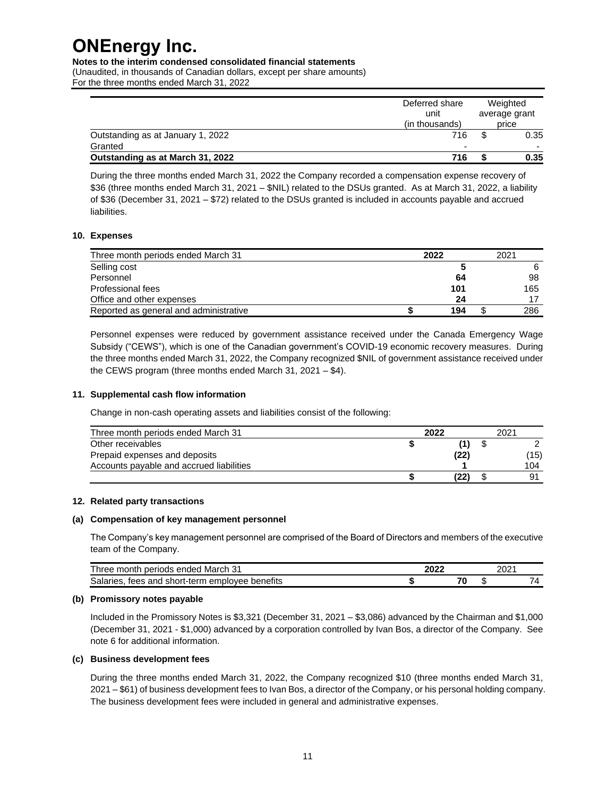**Notes to the interim condensed consolidated financial statements** 

(Unaudited, in thousands of Canadian dollars, except per share amounts) For the three months ended March 31, 2022

|                                   | Deferred share<br>unit<br>(in thousands) | Weighted<br>average grant<br>price |      |  |
|-----------------------------------|------------------------------------------|------------------------------------|------|--|
| Outstanding as at January 1, 2022 | 716                                      |                                    | 0.35 |  |
| Granted                           |                                          |                                    | -    |  |
| Outstanding as at March 31, 2022  | 716                                      |                                    | 0.35 |  |

During the three months ended March 31, 2022 the Company recorded a compensation expense recovery of \$36 (three months ended March 31, 2021 – \$NIL) related to the DSUs granted. As at March 31, 2022, a liability of \$36 (December 31, 2021 – \$72) related to the DSUs granted is included in accounts payable and accrued liabilities.

#### **10. Expenses**

| Three month periods ended March 31     | 2022 |     | 2021 |
|----------------------------------------|------|-----|------|
| Selling cost                           |      |     | 6    |
| Personnel                              |      | 64  | 98   |
| Professional fees                      |      | 101 | 165  |
| Office and other expenses              |      | 24  |      |
| Reported as general and administrative |      | 194 | 286  |

Personnel expenses were reduced by government assistance received under the Canada Emergency Wage Subsidy ("CEWS"), which is one of the Canadian government's COVID-19 economic recovery measures. During the three months ended March 31, 2022, the Company recognized \$NIL of government assistance received under the CEWS program (three months ended March 31, 2021 – \$4).

#### **11. Supplemental cash flow information**

Change in non-cash operating assets and liabilities consist of the following:

| Three month periods ended March 31       | 2022 | 2021 |
|------------------------------------------|------|------|
| Other receivables                        |      |      |
| Prepaid expenses and deposits            | (22) | (15) |
| Accounts payable and accrued liabilities |      | 104  |
|                                          |      | 91   |

#### **12. Related party transactions**

#### **(a) Compensation of key management personnel**

The Company's key management personnel are comprised of the Board of Directors and members of the executive team of the Company.

| March<br>periods<br>ended<br>hree<br>month<br>◡            |  | ∤ר∩ר |   |
|------------------------------------------------------------|--|------|---|
| benefits<br>Salaries.<br>I short-term emplovee<br>tees and |  | AD.  | - |

#### **(b) Promissory notes payable**

Included in the Promissory Notes is \$3,321 (December 31, 2021 – \$3,086) advanced by the Chairman and \$1,000 (December 31, 2021 - \$1,000) advanced by a corporation controlled by Ivan Bos, a director of the Company. See note 6 for additional information.

#### **(c) Business development fees**

During the three months ended March 31, 2022, the Company recognized \$10 (three months ended March 31, 2021 – \$61) of business development fees to Ivan Bos, a director of the Company, or his personal holding company. The business development fees were included in general and administrative expenses.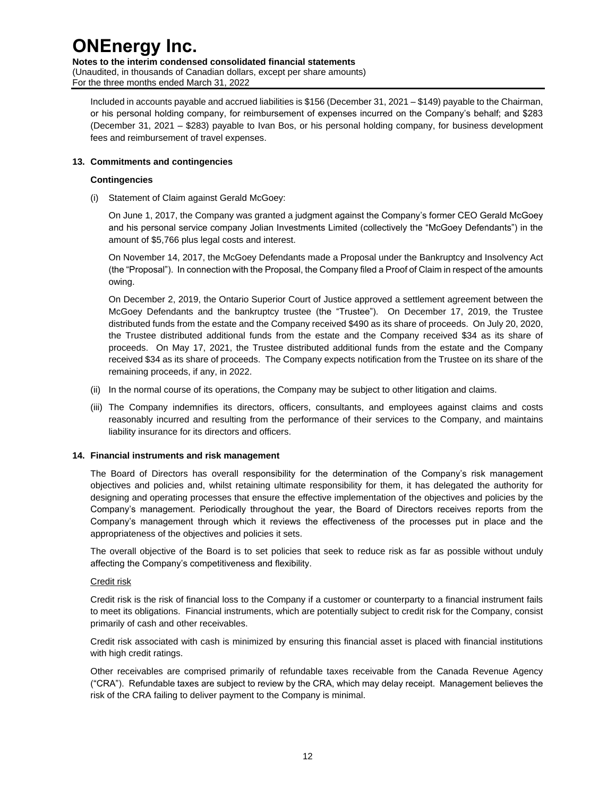**Notes to the interim condensed consolidated financial statements** 

(Unaudited, in thousands of Canadian dollars, except per share amounts) For the three months ended March 31, 2022

Included in accounts payable and accrued liabilities is \$156 (December 31, 2021 – \$149) payable to the Chairman, or his personal holding company, for reimbursement of expenses incurred on the Company's behalf; and \$283 (December 31, 2021 – \$283) payable to Ivan Bos, or his personal holding company, for business development fees and reimbursement of travel expenses.

#### **13. Commitments and contingencies**

#### **Contingencies**

(i) Statement of Claim against Gerald McGoey:

On June 1, 2017, the Company was granted a judgment against the Company's former CEO Gerald McGoey and his personal service company Jolian Investments Limited (collectively the "McGoey Defendants") in the amount of \$5,766 plus legal costs and interest.

On November 14, 2017, the McGoey Defendants made a Proposal under the Bankruptcy and Insolvency Act (the "Proposal"). In connection with the Proposal, the Company filed a Proof of Claim in respect of the amounts owing.

On December 2, 2019, the Ontario Superior Court of Justice approved a settlement agreement between the McGoey Defendants and the bankruptcy trustee (the "Trustee"). On December 17, 2019, the Trustee distributed funds from the estate and the Company received \$490 as its share of proceeds. On July 20, 2020, the Trustee distributed additional funds from the estate and the Company received \$34 as its share of proceeds. On May 17, 2021, the Trustee distributed additional funds from the estate and the Company received \$34 as its share of proceeds. The Company expects notification from the Trustee on its share of the remaining proceeds, if any, in 2022.

- (ii) In the normal course of its operations, the Company may be subject to other litigation and claims.
- (iii) The Company indemnifies its directors, officers, consultants, and employees against claims and costs reasonably incurred and resulting from the performance of their services to the Company, and maintains liability insurance for its directors and officers.

#### **14. Financial instruments and risk management**

The Board of Directors has overall responsibility for the determination of the Company's risk management objectives and policies and, whilst retaining ultimate responsibility for them, it has delegated the authority for designing and operating processes that ensure the effective implementation of the objectives and policies by the Company's management. Periodically throughout the year, the Board of Directors receives reports from the Company's management through which it reviews the effectiveness of the processes put in place and the appropriateness of the objectives and policies it sets.

The overall objective of the Board is to set policies that seek to reduce risk as far as possible without unduly affecting the Company's competitiveness and flexibility.

#### Credit risk

Credit risk is the risk of financial loss to the Company if a customer or counterparty to a financial instrument fails to meet its obligations. Financial instruments, which are potentially subject to credit risk for the Company, consist primarily of cash and other receivables.

Credit risk associated with cash is minimized by ensuring this financial asset is placed with financial institutions with high credit ratings.

Other receivables are comprised primarily of refundable taxes receivable from the Canada Revenue Agency ("CRA"). Refundable taxes are subject to review by the CRA, which may delay receipt. Management believes the risk of the CRA failing to deliver payment to the Company is minimal.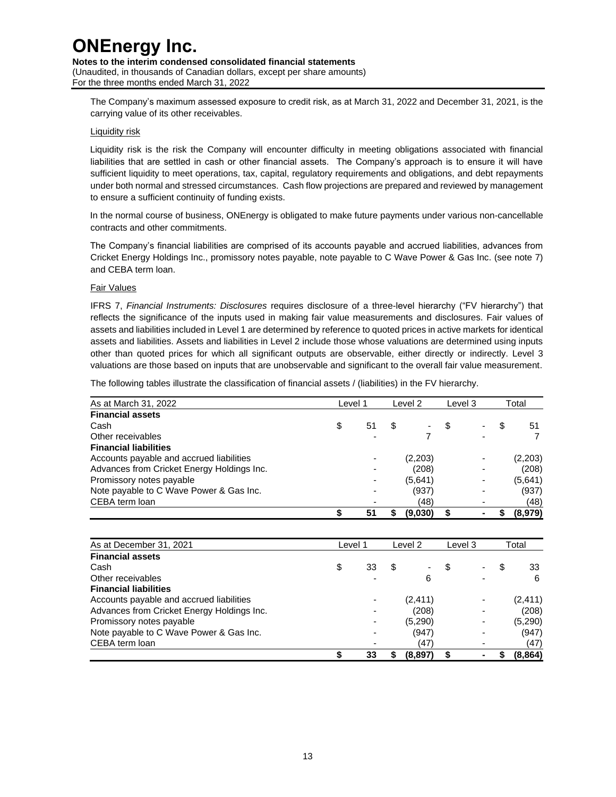**Notes to the interim condensed consolidated financial statements**  (Unaudited, in thousands of Canadian dollars, except per share amounts) For the three months ended March 31, 2022

The Company's maximum assessed exposure to credit risk, as at March 31, 2022 and December 31, 2021, is the carrying value of its other receivables.

#### Liquidity risk

Liquidity risk is the risk the Company will encounter difficulty in meeting obligations associated with financial liabilities that are settled in cash or other financial assets. The Company's approach is to ensure it will have sufficient liquidity to meet operations, tax, capital, regulatory requirements and obligations, and debt repayments under both normal and stressed circumstances. Cash flow projections are prepared and reviewed by management to ensure a sufficient continuity of funding exists.

In the normal course of business, ONEnergy is obligated to make future payments under various non-cancellable contracts and other commitments.

The Company's financial liabilities are comprised of its accounts payable and accrued liabilities, advances from Cricket Energy Holdings Inc., promissory notes payable, note payable to C Wave Power & Gas Inc. (see note 7) and CEBA term loan.

#### Fair Values

IFRS 7, *Financial Instruments: Disclosures* requires disclosure of a three-level hierarchy ("FV hierarchy") that reflects the significance of the inputs used in making fair value measurements and disclosures. Fair values of assets and liabilities included in Level 1 are determined by reference to quoted prices in active markets for identical assets and liabilities. Assets and liabilities in Level 2 include those whose valuations are determined using inputs other than quoted prices for which all significant outputs are observable, either directly or indirectly. Level 3 valuations are those based on inputs that are unobservable and significant to the overall fair value measurement.

The following tables illustrate the classification of financial assets / (liabilities) in the FV hierarchy.

| As at March 31, 2022                       | Level 1  |    | Level 2 |   | Level 3 |     | Total   |  |
|--------------------------------------------|----------|----|---------|---|---------|-----|---------|--|
| <b>Financial assets</b>                    |          |    |         |   |         |     |         |  |
| Cash                                       | \$<br>51 | \$ |         | S |         | \$. | 51      |  |
| Other receivables                          |          |    |         |   |         |     |         |  |
| <b>Financial liabilities</b>               |          |    |         |   |         |     |         |  |
| Accounts payable and accrued liabilities   |          |    | (2,203) |   |         |     | (2,203) |  |
| Advances from Cricket Energy Holdings Inc. |          |    | (208)   |   |         |     | (208)   |  |
| Promissory notes payable                   |          |    | (5,641) |   |         |     | (5,641) |  |
| Note payable to C Wave Power & Gas Inc.    |          |    | (937)   |   |         |     | (937)   |  |
| CEBA term loan                             |          |    | (48)    |   |         |     | (48)    |  |
|                                            | 51       | S  | (9,030) |   |         |     | (8,979) |  |

| As at December 31, 2021                    | Level 1 |    | Level 2 |          | Level 3 |   | Total |          |
|--------------------------------------------|---------|----|---------|----------|---------|---|-------|----------|
| <b>Financial assets</b>                    |         |    |         |          |         |   |       |          |
| Cash                                       |         | 33 | \$      |          |         |   | S     | 33       |
| Other receivables                          |         |    |         | 6        |         |   |       | 6        |
| <b>Financial liabilities</b>               |         |    |         |          |         |   |       |          |
| Accounts payable and accrued liabilities   |         |    |         | (2, 411) |         |   |       | (2, 411) |
| Advances from Cricket Energy Holdings Inc. |         |    |         | (208)    |         |   |       | (208)    |
| Promissory notes payable                   |         |    |         | (5,290)  |         |   |       | (5,290)  |
| Note payable to C Wave Power & Gas Inc.    |         |    |         | (947)    |         |   |       | (947)    |
| CEBA term loan                             |         |    |         | (47)     |         |   |       | (47)     |
|                                            |         | 33 | S       | (8,897)  |         | ۰ |       | (8, 864) |